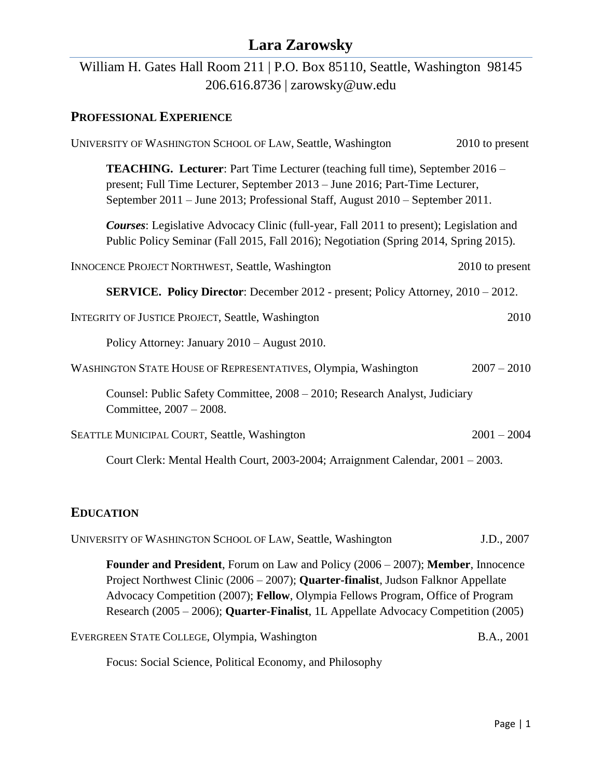## William H. Gates Hall Room 211 | P.O. Box 85110, Seattle, Washington 98145 206.616.8736 | zarowsky@uw.edu

### **PROFESSIONAL EXPERIENCE**

| UNIVERSITY OF WASHINGTON SCHOOL OF LAW, Seattle, Washington                                                                                                                                                                                           | 2010 to present |  |
|-------------------------------------------------------------------------------------------------------------------------------------------------------------------------------------------------------------------------------------------------------|-----------------|--|
| <b>TEACHING.</b> Lecturer: Part Time Lecturer (teaching full time), September 2016 –<br>present; Full Time Lecturer, September 2013 - June 2016; Part-Time Lecturer,<br>September 2011 – June 2013; Professional Staff, August 2010 – September 2011. |                 |  |
| <b>Courses:</b> Legislative Advocacy Clinic (full-year, Fall 2011 to present); Legislation and<br>Public Policy Seminar (Fall 2015, Fall 2016); Negotiation (Spring 2014, Spring 2015).                                                               |                 |  |
| <b>INNOCENCE PROJECT NORTHWEST, Seattle, Washington</b>                                                                                                                                                                                               | 2010 to present |  |
| SERVICE. Policy Director: December 2012 - present; Policy Attorney, 2010 - 2012.                                                                                                                                                                      |                 |  |
| <b>INTEGRITY OF JUSTICE PROJECT, Seattle, Washington</b>                                                                                                                                                                                              | 2010            |  |
| Policy Attorney: January 2010 - August 2010.                                                                                                                                                                                                          |                 |  |
| WASHINGTON STATE HOUSE OF REPRESENTATIVES, Olympia, Washington                                                                                                                                                                                        | $2007 - 2010$   |  |
| Counsel: Public Safety Committee, 2008 – 2010; Research Analyst, Judiciary<br>Committee, 2007 - 2008.                                                                                                                                                 |                 |  |
| SEATTLE MUNICIPAL COURT, Seattle, Washington                                                                                                                                                                                                          | $2001 - 2004$   |  |
| Court Clerk: Mental Health Court, 2003-2004; Arraignment Calendar, 2001 - 2003.                                                                                                                                                                       |                 |  |

#### **EDUCATION**

| UNIVERSITY OF WASHINGTON SCHOOL OF LAW, Seattle, Washington                                                                                                                                                                                                                                                                                                       | J.D., 2007        |
|-------------------------------------------------------------------------------------------------------------------------------------------------------------------------------------------------------------------------------------------------------------------------------------------------------------------------------------------------------------------|-------------------|
| <b>Founder and President</b> , Forum on Law and Policy $(2006 - 2007)$ ; <b>Member</b> , Innocence<br>Project Northwest Clinic (2006 – 2007); Quarter-finalist, Judson Falknor Appellate<br>Advocacy Competition (2007); Fellow, Olympia Fellows Program, Office of Program<br>Research (2005 – 2006); Quarter-Finalist, 1L Appellate Advocacy Competition (2005) |                   |
| EVERGREEN STATE COLLEGE, Olympia, Washington                                                                                                                                                                                                                                                                                                                      | <b>B.A., 2001</b> |
| Focus: Social Science, Political Economy, and Philosophy                                                                                                                                                                                                                                                                                                          |                   |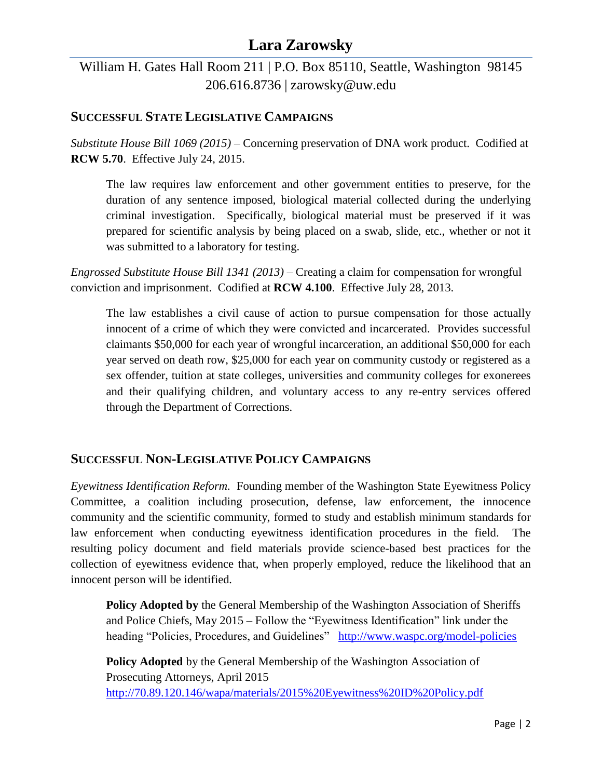## William H. Gates Hall Room 211 | P.O. Box 85110, Seattle, Washington 98145 206.616.8736 | zarowsky@uw.edu

#### **SUCCESSFUL STATE LEGISLATIVE CAMPAIGNS**

*Substitute House Bill 1069 (2015) –* Concerning preservation of DNA work product. Codified at **RCW 5.70**. Effective July 24, 2015.

The law requires law enforcement and other government entities to preserve, for the duration of any sentence imposed, biological material collected during the underlying criminal investigation. Specifically, biological material must be preserved if it was prepared for scientific analysis by being placed on a swab, slide, etc., whether or not it was submitted to a laboratory for testing.

*Engrossed Substitute House Bill 1341 (2013) –* Creating a claim for compensation for wrongful conviction and imprisonment. Codified at **RCW 4.100**. Effective July 28, 2013.

The law establishes a civil cause of action to pursue compensation for those actually innocent of a crime of which they were convicted and incarcerated. Provides successful claimants \$50,000 for each year of wrongful incarceration, an additional \$50,000 for each year served on death row, \$25,000 for each year on community custody or registered as a sex offender, tuition at state colleges, universities and community colleges for exonerees and their qualifying children, and voluntary access to any re-entry services offered through the Department of Corrections.

#### **SUCCESSFUL NON-LEGISLATIVE POLICY CAMPAIGNS**

*Eyewitness Identification Reform.* Founding member of the Washington State Eyewitness Policy Committee, a coalition including prosecution, defense, law enforcement, the innocence community and the scientific community, formed to study and establish minimum standards for law enforcement when conducting eyewitness identification procedures in the field. The resulting policy document and field materials provide science-based best practices for the collection of eyewitness evidence that, when properly employed, reduce the likelihood that an innocent person will be identified*.* 

**Policy Adopted by** the General Membership of the Washington Association of Sheriffs and Police Chiefs, May 2015 – Follow the "Eyewitness Identification" link under the heading "Policies, Procedures, and Guidelines" <http://www.waspc.org/model-policies>

**Policy Adopted** by the General Membership of the Washington Association of Prosecuting Attorneys, April 2015 <http://70.89.120.146/wapa/materials/2015%20Eyewitness%20ID%20Policy.pdf>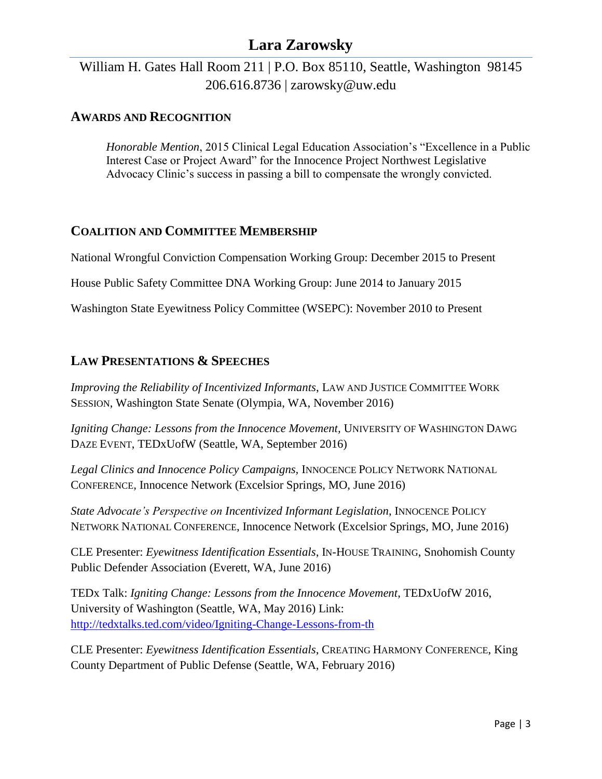### William H. Gates Hall Room 211 | P.O. Box 85110, Seattle, Washington 98145 206.616.8736 | zarowsky@uw.edu

#### **AWARDS AND RECOGNITION**

*Honorable Mention*, 2015 Clinical Legal Education Association's "Excellence in a Public Interest Case or Project Award" for the Innocence Project Northwest Legislative Advocacy Clinic's success in passing a bill to compensate the wrongly convicted.

#### **COALITION AND COMMITTEE MEMBERSHIP**

National Wrongful Conviction Compensation Working Group: December 2015 to Present

House Public Safety Committee DNA Working Group: June 2014 to January 2015

Washington State Eyewitness Policy Committee (WSEPC): November 2010 to Present

#### **LAW PRESENTATIONS & SPEECHES**

*Improving the Reliability of Incentivized Informants*, LAW AND JUSTICE COMMITTEE WORK SESSION, Washington State Senate (Olympia, WA, November 2016)

*Igniting Change: Lessons from the Innocence Movement,* UNIVERSITY OF WASHINGTON DAWG DAZE EVENT, TEDxUofW (Seattle, WA, September 2016)

Legal Clinics and Innocence Policy Campaigns, INNOCENCE POLICY NETWORK NATIONAL CONFERENCE*,* Innocence Network (Excelsior Springs, MO, June 2016)

*State Advocate's Perspective on Incentivized Informant Legislation*, INNOCENCE POLICY NETWORK NATIONAL CONFERENCE, Innocence Network (Excelsior Springs, MO, June 2016)

CLE Presenter: *Eyewitness Identification Essentials*, IN-HOUSE TRAINING, Snohomish County Public Defender Association (Everett, WA, June 2016)

TEDx Talk: *Igniting Change: Lessons from the Innocence Movement*, TEDxUofW 2016, University of Washington (Seattle, WA, May 2016) Link: <http://tedxtalks.ted.com/video/Igniting-Change-Lessons-from-th>

CLE Presenter: *Eyewitness Identification Essentials*, CREATING HARMONY CONFERENCE, King County Department of Public Defense (Seattle, WA, February 2016)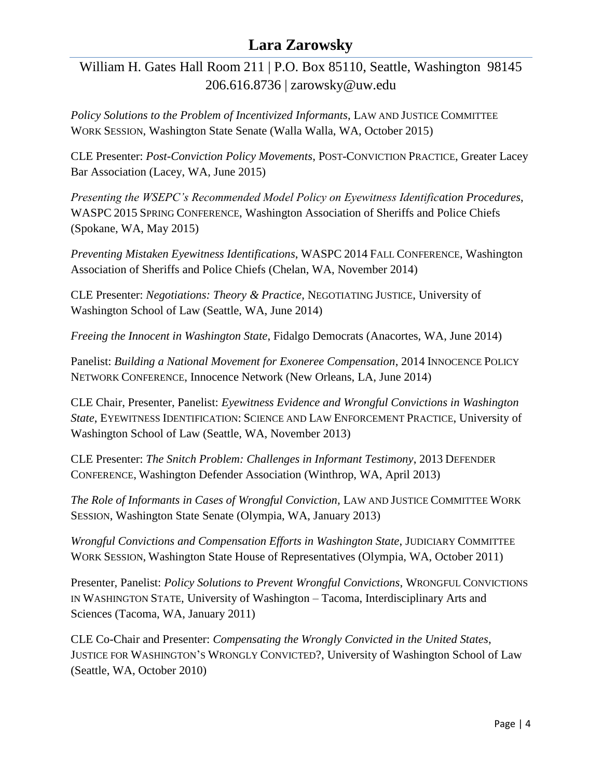William H. Gates Hall Room 211 | P.O. Box 85110, Seattle, Washington 98145 206.616.8736 | zarowsky@uw.edu

*Policy Solutions to the Problem of Incentivized Informants*, LAW AND JUSTICE COMMITTEE WORK SESSION, Washington State Senate (Walla Walla, WA, October 2015)

CLE Presenter: *Post-Conviction Policy Movements*, POST-CONVICTION PRACTICE, Greater Lacey Bar Association (Lacey, WA, June 2015)

*Presenting the WSEPC's Recommended Model Policy on Eyewitness Identification Procedures*, WASPC 2015 SPRING CONFERENCE, Washington Association of Sheriffs and Police Chiefs (Spokane, WA, May 2015)

*Preventing Mistaken Eyewitness Identifications*, WASPC 2014 FALL CONFERENCE, Washington Association of Sheriffs and Police Chiefs (Chelan, WA, November 2014)

CLE Presenter: *Negotiations: Theory & Practice*, NEGOTIATING JUSTICE, University of Washington School of Law (Seattle, WA, June 2014)

*Freeing the Innocent in Washington State*, Fidalgo Democrats (Anacortes, WA, June 2014)

Panelist: *Building a National Movement for Exoneree Compensation*, 2014 INNOCENCE POLICY NETWORK CONFERENCE, Innocence Network (New Orleans, LA, June 2014)

CLE Chair, Presenter, Panelist: *Eyewitness Evidence and Wrongful Convictions in Washington State*, EYEWITNESS IDENTIFICATION: SCIENCE AND LAW ENFORCEMENT PRACTICE, University of Washington School of Law (Seattle, WA, November 2013)

CLE Presenter: *The Snitch Problem: Challenges in Informant Testimony*, 2013 DEFENDER CONFERENCE, Washington Defender Association (Winthrop, WA, April 2013)

The Role of Informants in Cases of Wrongful Conviction, LAW AND JUSTICE COMMITTEE WORK SESSION, Washington State Senate (Olympia, WA, January 2013)

*Wrongful Convictions and Compensation Efforts in Washington State*, JUDICIARY COMMITTEE WORK SESSION, Washington State House of Representatives (Olympia, WA, October 2011)

Presenter, Panelist: *Policy Solutions to Prevent Wrongful Convictions*, WRONGFUL CONVICTIONS IN WASHINGTON STATE, University of Washington – Tacoma, Interdisciplinary Arts and Sciences (Tacoma, WA, January 2011)

CLE Co-Chair and Presenter: *Compensating the Wrongly Convicted in the United States*, JUSTICE FOR WASHINGTON'S WRONGLY CONVICTED?, University of Washington School of Law (Seattle, WA, October 2010)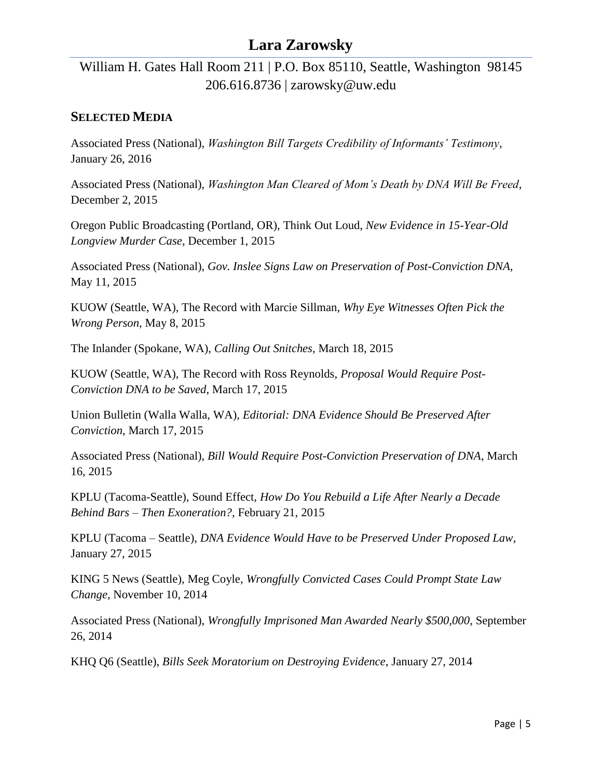William H. Gates Hall Room 211 | P.O. Box 85110, Seattle, Washington 98145 206.616.8736 | zarowsky@uw.edu

#### **SELECTED MEDIA**

Associated Press (National), *Washington Bill Targets Credibility of Informants' Testimony*, January 26, 2016

Associated Press (National), *Washington Man Cleared of Mom's Death by DNA Will Be Freed*, December 2, 2015

Oregon Public Broadcasting (Portland, OR), Think Out Loud, *New Evidence in 15-Year-Old Longview Murder Case*, December 1, 2015

Associated Press (National), *Gov. Inslee Signs Law on Preservation of Post-Conviction DNA*, May 11, 2015

KUOW (Seattle, WA), The Record with Marcie Sillman, *Why Eye Witnesses Often Pick the Wrong Person*, May 8, 2015

The Inlander (Spokane, WA), *Calling Out Snitches*, March 18, 2015

KUOW (Seattle, WA), The Record with Ross Reynolds, *Proposal Would Require Post-Conviction DNA to be Saved*, March 17, 2015

Union Bulletin (Walla Walla, WA), *Editorial: DNA Evidence Should Be Preserved After Conviction*, March 17, 2015

Associated Press (National), *Bill Would Require Post-Conviction Preservation of DNA*, March 16, 2015

KPLU (Tacoma-Seattle), Sound Effect, *How Do You Rebuild a Life After Nearly a Decade Behind Bars – Then Exoneration?*, February 21, 2015

KPLU (Tacoma – Seattle), *DNA Evidence Would Have to be Preserved Under Proposed Law*, January 27, 2015

KING 5 News (Seattle), Meg Coyle, *Wrongfully Convicted Cases Could Prompt State Law Change*, November 10, 2014

Associated Press (National), *Wrongfully Imprisoned Man Awarded Nearly \$500,000*, September 26, 2014

KHQ Q6 (Seattle), *Bills Seek Moratorium on Destroying Evidence*, January 27, 2014